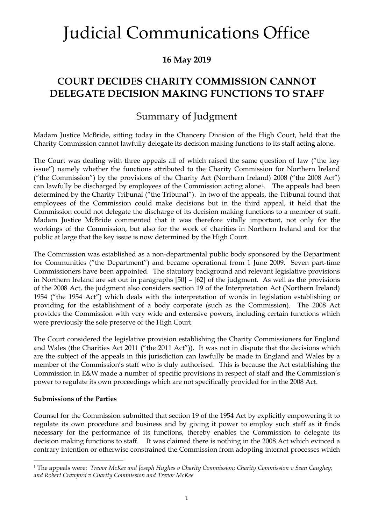### **16 May 2019**

### **COURT DECIDES CHARITY COMMISSION CANNOT DELEGATE DECISION MAKING FUNCTIONS TO STAFF**

### Summary of Judgment

Madam Justice McBride, sitting today in the Chancery Division of the High Court, held that the Charity Commission cannot lawfully delegate its decision making functions to its staff acting alone.

The Court was dealing with three appeals all of which raised the same question of law ("the key issue") namely whether the functions attributed to the Charity Commission for Northern Ireland ("the Commission") by the provisions of the Charity Act (Northern Ireland) 2008 ("the 2008 Act") can lawfully be discharged by employees of the Commission acting alone[1.](#page-0-0) The appeals had been determined by the Charity Tribunal ("the Tribunal"). In two of the appeals, the Tribunal found that employees of the Commission could make decisions but in the third appeal, it held that the Commission could not delegate the discharge of its decision making functions to a member of staff. Madam Justice McBride commented that it was therefore vitally important, not only for the workings of the Commission, but also for the work of charities in Northern Ireland and for the public at large that the key issue is now determined by the High Court.

The Commission was established as a non-departmental public body sponsored by the Department for Communities ("the Department") and became operational from 1 June 2009. Seven part-time Commissioners have been appointed. The statutory background and relevant legislative provisions in Northern Ireland are set out in paragraphs [50] – [62] of the judgment. As well as the provisions of the 2008 Act, the judgment also considers section 19 of the Interpretation Act (Northern Ireland) 1954 ("the 1954 Act") which deals with the interpretation of words in legislation establishing or providing for the establishment of a body corporate (such as the Commission). The 2008 Act provides the Commission with very wide and extensive powers, including certain functions which were previously the sole preserve of the High Court.

The Court considered the legislative provision establishing the Charity Commissioners for England and Wales (the Charities Act 2011 ("the 2011 Act")). It was not in dispute that the decisions which are the subject of the appeals in this jurisdiction can lawfully be made in England and Wales by a member of the Commission's staff who is duly authorised. This is because the Act establishing the Commission in E&W made a number of specific provisions in respect of staff and the Commission's power to regulate its own proceedings which are not specifically provided for in the 2008 Act.

#### **Submissions of the Parties**

Counsel for the Commission submitted that section 19 of the 1954 Act by explicitly empowering it to regulate its own procedure and business and by giving it power to employ such staff as it finds necessary for the performance of its functions, thereby enables the Commission to delegate its decision making functions to staff. It was claimed there is nothing in the 2008 Act which evinced a contrary intention or otherwise constrained the Commission from adopting internal processes which

<span id="page-0-0"></span> <sup>1</sup> The appeals were: *Trevor McKee and Joseph Hughes v Charity Commission; Charity Commission v Sean Caughey; and Robert Crawford v Charity Commission and Trevor McKee*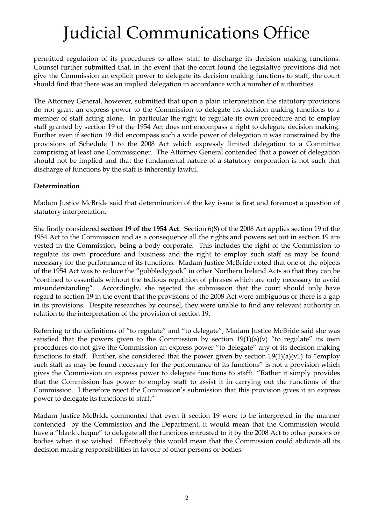permitted regulation of its procedures to allow staff to discharge its decision making functions. Counsel further submitted that, in the event that the court found the legislative provisions did not give the Commission an explicit power to delegate its decision making functions to staff, the court should find that there was an implied delegation in accordance with a number of authorities.

The Attorney General, however, submitted that upon a plain interpretation the statutory provisions do not grant an express power to the Commission to delegate its decision making functions to a member of staff acting alone. In particular the right to regulate its own procedure and to employ staff granted by section 19 of the 1954 Act does not encompass a right to delegate decision making. Further even if section 19 did encompass such a wide power of delegation it was constrained by the provisions of Schedule 1 to the 2008 Act which expressly limited delegation to a Committee comprising at least one Commissioner. The Attorney General contended that a power of delegation should not be implied and that the fundamental nature of a statutory corporation is not such that discharge of functions by the staff is inherently lawful.

### **Determination**

Madam Justice McBride said that determination of the key issue is first and foremost a question of statutory interpretation.

She firstly considered **section 19 of the 1954 Act**. Section 6(8) of the 2008 Act applies section 19 of the 1954 Act to the Commission and as a consequence all the rights and powers set out in section 19 are vested in the Commission, being a body corporate. This includes the right of the Commission to regulate its own procedure and business and the right to employ such staff as may be found necessary for the performance of its functions. Madam Justice McBride noted that one of the objects of the 1954 Act was to reduce the "gobbledygook" in other Northern Ireland Acts so that they can be "confined to essentials without the tedious repetition of phrases which are only necessary to avoid misunderstanding". Accordingly, she rejected the submission that the court should only have regard to section 19 in the event that the provisions of the 2008 Act were ambiguous or there is a gap in its provisions. Despite researches by counsel, they were unable to find any relevant authority in relation to the interpretation of the provision of section 19.

Referring to the definitions of "to regulate" and "to delegate", Madam Justice McBride said she was satisfied that the powers given to the Commission by section  $19(1)(a)(v)$  "to regulate" its own procedures do not give the Commission an express power "to delegate" any of its decision making functions to staff. Further, she considered that the power given by section  $19(1)(a)(v1)$  to "employ" such staff as may be found necessary for the performance of its functions" is not a provision which gives the Commission an express power to delegate functions to staff: "Rather it simply provides that the Commission has power to employ staff to assist it in carrying out the functions of the Commission. I therefore reject the Commission's submission that this provision gives it an express power to delegate its functions to staff."

Madam Justice McBride commented that even if section 19 were to be interpreted in the manner contended by the Commission and the Department, it would mean that the Commission would have a "blank cheque" to delegate all the functions entrusted to it by the 2008 Act to other persons or bodies when it so wished. Effectively this would mean that the Commission could abdicate all its decision making responsibilities in favour of other persons or bodies: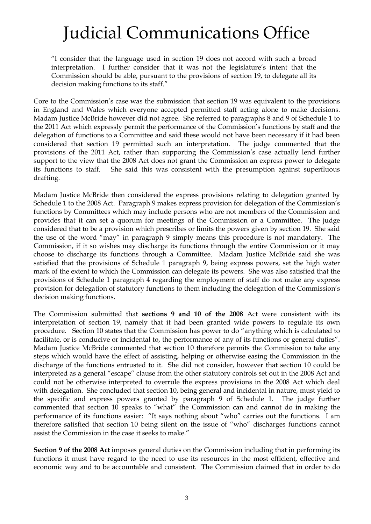"I consider that the language used in section 19 does not accord with such a broad interpretation. I further consider that it was not the legislature's intent that the Commission should be able, pursuant to the provisions of section 19, to delegate all its decision making functions to its staff."

Core to the Commission's case was the submission that section 19 was equivalent to the provisions in England and Wales which everyone accepted permitted staff acting alone to make decisions. Madam Justice McBride however did not agree. She referred to paragraphs 8 and 9 of Schedule 1 to the 2011 Act which expressly permit the performance of the Commission's functions by staff and the delegation of functions to a Committee and said these would not have been necessary if it had been considered that section 19 permitted such an interpretation. The judge commented that the provisions of the 2011 Act, rather than supporting the Commission's case actually lend further support to the view that the 2008 Act does not grant the Commission an express power to delegate its functions to staff. She said this was consistent with the presumption against superfluous drafting.

Madam Justice McBride then considered the express provisions relating to delegation granted by Schedule 1 to the 2008 Act. Paragraph 9 makes express provision for delegation of the Commission's functions by Committees which may include persons who are not members of the Commission and provides that it can set a quorum for meetings of the Commission or a Committee. The judge considered that to be a provision which prescribes or limits the powers given by section 19. She said the use of the word "may" in paragraph 9 simply means this procedure is not mandatory. The Commission, if it so wishes may discharge its functions through the entire Commission or it may choose to discharge its functions through a Committee. Madam Justice McBride said she was satisfied that the provisions of Schedule 1 paragraph 9, being express powers, set the high water mark of the extent to which the Commission can delegate its powers. She was also satisfied that the provisions of Schedule 1 paragraph 4 regarding the employment of staff do not make any express provision for delegation of statutory functions to them including the delegation of the Commission's decision making functions.

The Commission submitted that **sections 9 and 10 of the 2008** Act were consistent with its interpretation of section 19, namely that it had been granted wide powers to regulate its own procedure. Section 10 states that the Commission has power to do "anything which is calculated to facilitate, or is conducive or incidental to, the performance of any of its functions or general duties". Madam Justice McBride commented that section 10 therefore permits the Commission to take any steps which would have the effect of assisting, helping or otherwise easing the Commission in the discharge of the functions entrusted to it. She did not consider, however that section 10 could be interpreted as a general "escape" clause from the other statutory controls set out in the 2008 Act and could not be otherwise interpreted to overrule the express provisions in the 2008 Act which deal with delegation. She concluded that section 10, being general and incidental in nature, must yield to the specific and express powers granted by paragraph 9 of Schedule 1. The judge further commented that section 10 speaks to "what" the Commission can and cannot do in making the performance of its functions easier: "It says nothing about "who" carries out the functions. I am therefore satisfied that section 10 being silent on the issue of "who" discharges functions cannot assist the Commission in the case it seeks to make."

**Section 9 of the 2008 Act** imposes general duties on the Commission including that in performing its functions it must have regard to the need to use its resources in the most efficient, effective and economic way and to be accountable and consistent. The Commission claimed that in order to do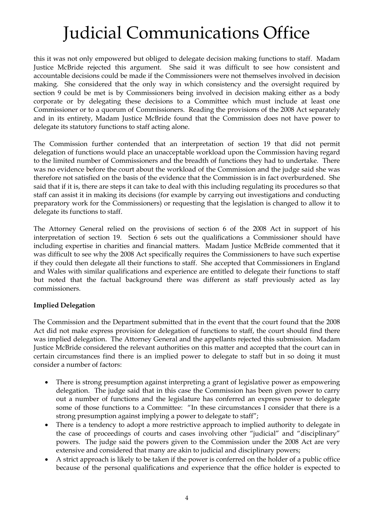this it was not only empowered but obliged to delegate decision making functions to staff. Madam Justice McBride rejected this argument. She said it was difficult to see how consistent and accountable decisions could be made if the Commissioners were not themselves involved in decision making. She considered that the only way in which consistency and the oversight required by section 9 could be met is by Commissioners being involved in decision making either as a body corporate or by delegating these decisions to a Committee which must include at least one Commissioner or to a quorum of Commissioners. Reading the provisions of the 2008 Act separately and in its entirety, Madam Justice McBride found that the Commission does not have power to delegate its statutory functions to staff acting alone.

The Commission further contended that an interpretation of section 19 that did not permit delegation of functions would place an unacceptable workload upon the Commission having regard to the limited number of Commissioners and the breadth of functions they had to undertake. There was no evidence before the court about the workload of the Commission and the judge said she was therefore not satisfied on the basis of the evidence that the Commission is in fact overburdened. She said that if it is, there are steps it can take to deal with this including regulating its procedures so that staff can assist it in making its decisions (for example by carrying out investigations and conducting preparatory work for the Commissioners) or requesting that the legislation is changed to allow it to delegate its functions to staff.

The Attorney General relied on the provisions of section 6 of the 2008 Act in support of his interpretation of section 19. Section 6 sets out the qualifications a Commissioner should have including expertise in charities and financial matters. Madam Justice McBride commented that it was difficult to see why the 2008 Act specifically requires the Commissioners to have such expertise if they could then delegate all their functions to staff. She accepted that Commissioners in England and Wales with similar qualifications and experience are entitled to delegate their functions to staff but noted that the factual background there was different as staff previously acted as lay commissioners.

### **Implied Delegation**

The Commission and the Department submitted that in the event that the court found that the 2008 Act did not make express provision for delegation of functions to staff, the court should find there was implied delegation. The Attorney General and the appellants rejected this submission. Madam Justice McBride considered the relevant authorities on this matter and accepted that the court can in certain circumstances find there is an implied power to delegate to staff but in so doing it must consider a number of factors:

- There is strong presumption against interpreting a grant of legislative power as empowering delegation. The judge said that in this case the Commission has been given power to carry out a number of functions and the legislature has conferred an express power to delegate some of those functions to a Committee: "In these circumstances I consider that there is a strong presumption against implying a power to delegate to staff";
- There is a tendency to adopt a more restrictive approach to implied authority to delegate in the case of proceedings of courts and cases involving other "judicial" and "disciplinary" powers. The judge said the powers given to the Commission under the 2008 Act are very extensive and considered that many are akin to judicial and disciplinary powers;
- A strict approach is likely to be taken if the power is conferred on the holder of a public office because of the personal qualifications and experience that the office holder is expected to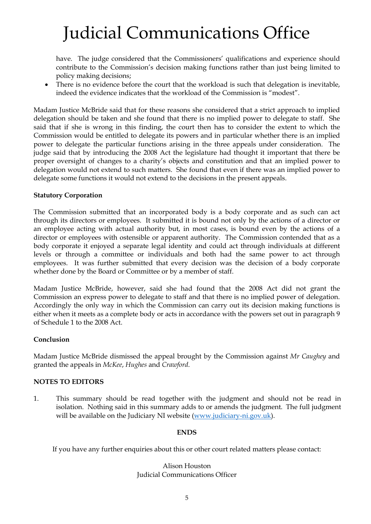have. The judge considered that the Commissioners' qualifications and experience should contribute to the Commission's decision making functions rather than just being limited to policy making decisions;

• There is no evidence before the court that the workload is such that delegation is inevitable, indeed the evidence indicates that the workload of the Commission is "modest".

Madam Justice McBride said that for these reasons she considered that a strict approach to implied delegation should be taken and she found that there is no implied power to delegate to staff. She said that if she is wrong in this finding, the court then has to consider the extent to which the Commission would be entitled to delegate its powers and in particular whether there is an implied power to delegate the particular functions arising in the three appeals under consideration. The judge said that by introducing the 2008 Act the legislature had thought it important that there be proper oversight of changes to a charity's objects and constitution and that an implied power to delegation would not extend to such matters. She found that even if there was an implied power to delegate some functions it would not extend to the decisions in the present appeals.

#### **Statutory Corporation**

The Commission submitted that an incorporated body is a body corporate and as such can act through its directors or employees. It submitted it is bound not only by the actions of a director or an employee acting with actual authority but, in most cases, is bound even by the actions of a director or employees with ostensible or apparent authority. The Commission contended that as a body corporate it enjoyed a separate legal identity and could act through individuals at different levels or through a committee or individuals and both had the same power to act through employees. It was further submitted that every decision was the decision of a body corporate whether done by the Board or Committee or by a member of staff.

Madam Justice McBride, however, said she had found that the 2008 Act did not grant the Commission an express power to delegate to staff and that there is no implied power of delegation. Accordingly the only way in which the Commission can carry out its decision making functions is either when it meets as a complete body or acts in accordance with the powers set out in paragraph 9 of Schedule 1 to the 2008 Act.

### **Conclusion**

Madam Justice McBride dismissed the appeal brought by the Commission against *Mr Caughey* and granted the appeals in *McKee*, *Hughes* and *Crawford*.

### **NOTES TO EDITORS**

1. This summary should be read together with the judgment and should not be read in isolation. Nothing said in this summary adds to or amends the judgment. The full judgment will be available on the Judiciary NI website [\(www.judiciary-ni.gov.uk\)](http://www.judiciary-ni.gov.uk/).

#### **ENDS**

If you have any further enquiries about this or other court related matters please contact:

Alison Houston Judicial Communications Officer